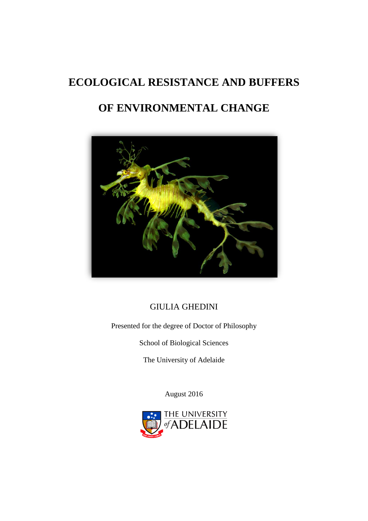## <span id="page-0-0"></span>**ECOLOGICAL RESISTANCE AND BUFFERS**

# **OF ENVIRONMENTAL CHANGE**



## GIULIA GHEDINI

Presented for the degree of Doctor of Philosophy

School of Biological Sciences

The University of Adelaide

August 2016

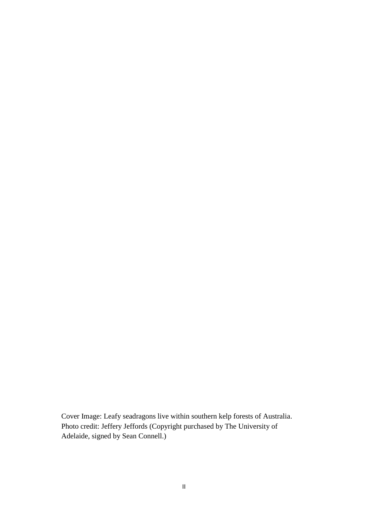Cover Image: Leafy seadragons live within southern kelp forests of Australia. Photo credit: Jeffery Jeffords (Copyright purchased by The University of Adelaide, signed by Sean Connell.)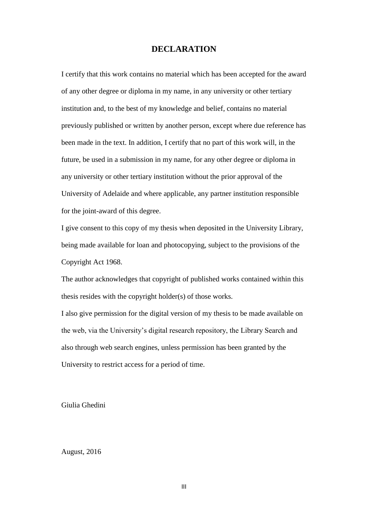## **DECLARATION**

<span id="page-2-0"></span>I certify that this work contains no material which has been accepted for the award of any other degree or diploma in my name, in any university or other tertiary institution and, to the best of my knowledge and belief, contains no material previously published or written by another person, except where due reference has been made in the text. In addition, I certify that no part of this work will, in the future, be used in a submission in my name, for any other degree or diploma in any university or other tertiary institution without the prior approval of the University of Adelaide and where applicable, any partner institution responsible for the joint-award of this degree.

I give consent to this copy of my thesis when deposited in the University Library, being made available for loan and photocopying, subject to the provisions of the Copyright Act 1968.

The author acknowledges that copyright of published works contained within this thesis resides with the copyright holder(s) of those works.

I also give permission for the digital version of my thesis to be made available on the web, via the University's digital research repository, the Library Search and also through web search engines, unless permission has been granted by the University to restrict access for a period of time.

Giulia Ghedini

August, 2016

III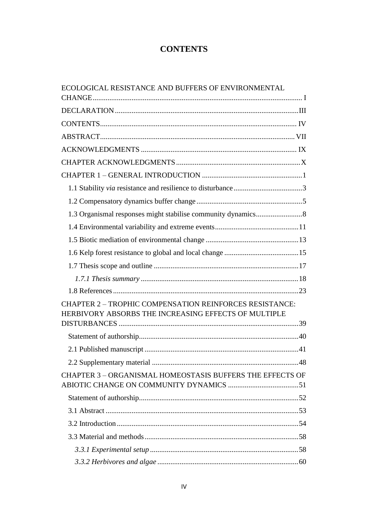## **CONTENTS**

<span id="page-3-0"></span>

| ECOLOGICAL RESISTANCE AND BUFFERS OF ENVIRONMENTAL                                                                     |  |
|------------------------------------------------------------------------------------------------------------------------|--|
|                                                                                                                        |  |
|                                                                                                                        |  |
|                                                                                                                        |  |
|                                                                                                                        |  |
|                                                                                                                        |  |
|                                                                                                                        |  |
|                                                                                                                        |  |
|                                                                                                                        |  |
|                                                                                                                        |  |
|                                                                                                                        |  |
|                                                                                                                        |  |
|                                                                                                                        |  |
|                                                                                                                        |  |
|                                                                                                                        |  |
|                                                                                                                        |  |
|                                                                                                                        |  |
| <b>CHAPTER 2 - TROPHIC COMPENSATION REINFORCES RESISTANCE:</b><br>HERBIVORY ABSORBS THE INCREASING EFFECTS OF MULTIPLE |  |
|                                                                                                                        |  |
|                                                                                                                        |  |
|                                                                                                                        |  |
| <b>CHAPTER 3 - ORGANISMAL HOMEOSTASIS BUFFERS THE EFFECTS OF</b>                                                       |  |
|                                                                                                                        |  |
|                                                                                                                        |  |
|                                                                                                                        |  |
|                                                                                                                        |  |
|                                                                                                                        |  |
|                                                                                                                        |  |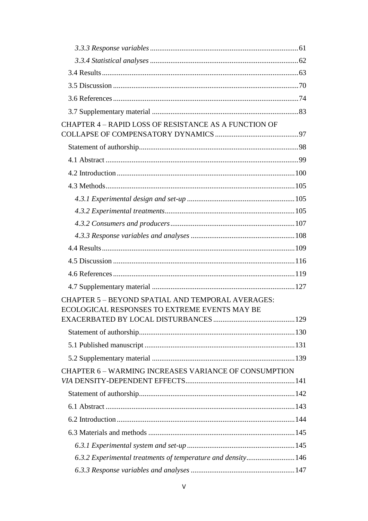| CHAPTER 4 - RAPID LOSS OF RESISTANCE AS A FUNCTION OF        |  |
|--------------------------------------------------------------|--|
|                                                              |  |
|                                                              |  |
|                                                              |  |
|                                                              |  |
|                                                              |  |
|                                                              |  |
|                                                              |  |
|                                                              |  |
|                                                              |  |
|                                                              |  |
|                                                              |  |
|                                                              |  |
|                                                              |  |
| <b>CHAPTER 5 - BEYOND SPATIAL AND TEMPORAL AVERAGES:</b>     |  |
| ECOLOGICAL RESPONSES TO EXTREME EVENTS MAY BE                |  |
|                                                              |  |
|                                                              |  |
|                                                              |  |
|                                                              |  |
| <b>CHAPTER 6 - WARMING INCREASES VARIANCE OF CONSUMPTION</b> |  |
|                                                              |  |
|                                                              |  |
|                                                              |  |
|                                                              |  |
|                                                              |  |
| 6.3.2 Experimental treatments of temperature and density 146 |  |
|                                                              |  |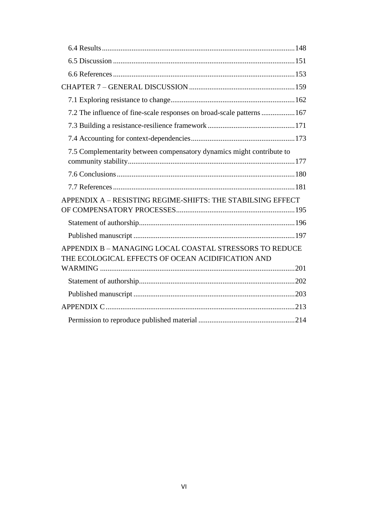| 7.2 The influence of fine-scale responses on broad-scale patterns  167                                       |  |
|--------------------------------------------------------------------------------------------------------------|--|
|                                                                                                              |  |
|                                                                                                              |  |
| 7.5 Complementarity between compensatory dynamics might contribute to                                        |  |
|                                                                                                              |  |
|                                                                                                              |  |
| APPENDIX A - RESISTING REGIME-SHIFTS: THE STABILSING EFFECT                                                  |  |
|                                                                                                              |  |
|                                                                                                              |  |
| APPENDIX B - MANAGING LOCAL COASTAL STRESSORS TO REDUCE<br>THE ECOLOGICAL EFFECTS OF OCEAN ACIDIFICATION AND |  |
|                                                                                                              |  |
|                                                                                                              |  |
|                                                                                                              |  |
|                                                                                                              |  |
|                                                                                                              |  |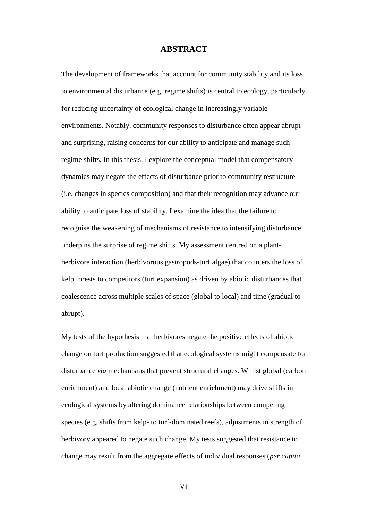### **ABSTRACT**

<span id="page-6-0"></span>The development of frameworks that account for community stability and its loss to environmental disturbance (e.g. regime shifts) is central to ecology, particularly for reducing uncertainty of ecological change in increasingly variable environments. Notably, community responses to disturbance often appear abrupt and surprising, raising concerns for our ability to anticipate and manage such regime shifts. In this thesis, I explore the conceptual model that compensatory dynamics may negate the effects of disturbance prior to community restructure (i.e. changes in species composition) and that their recognition may advance our ability to anticipate loss of stability. I examine the idea that the failure to recognise the weakening of mechanisms of resistance to intensifying disturbance underpins the surprise of regime shifts. My assessment centred on a plantherbivore interaction (herbivorous gastropods-turf algae) that counters the loss of kelp forests to competitors (turf expansion) as driven by abiotic disturbances that coalescence across multiple scales of space (global to local) and time (gradual to abrupt).

My tests of the hypothesis that herbivores negate the positive effects of abiotic change on turf production suggested that ecological systems might compensate for disturbance *via* mechanisms that prevent structural changes. Whilst global (carbon enrichment) and local abiotic change (nutrient enrichment) may drive shifts in ecological systems by altering dominance relationships between competing species (e.g. shifts from kelp- to turf-dominated reefs), adjustments in strength of herbivory appeared to negate such change. My tests suggested that resistance to change may result from the aggregate effects of individual responses (*per capita*

VII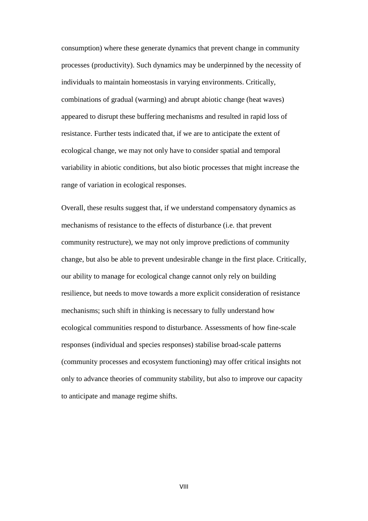consumption) where these generate dynamics that prevent change in community processes (productivity). Such dynamics may be underpinned by the necessity of individuals to maintain homeostasis in varying environments. Critically, combinations of gradual (warming) and abrupt abiotic change (heat waves) appeared to disrupt these buffering mechanisms and resulted in rapid loss of resistance. Further tests indicated that, if we are to anticipate the extent of ecological change, we may not only have to consider spatial and temporal variability in abiotic conditions, but also biotic processes that might increase the range of variation in ecological responses.

Overall, these results suggest that, if we understand compensatory dynamics as mechanisms of resistance to the effects of disturbance (i.e. that prevent community restructure), we may not only improve predictions of community change, but also be able to prevent undesirable change in the first place. Critically, our ability to manage for ecological change cannot only rely on building resilience, but needs to move towards a more explicit consideration of resistance mechanisms; such shift in thinking is necessary to fully understand how ecological communities respond to disturbance. Assessments of how fine-scale responses (individual and species responses) stabilise broad-scale patterns (community processes and ecosystem functioning) may offer critical insights not only to advance theories of community stability, but also to improve our capacity to anticipate and manage regime shifts.

VIII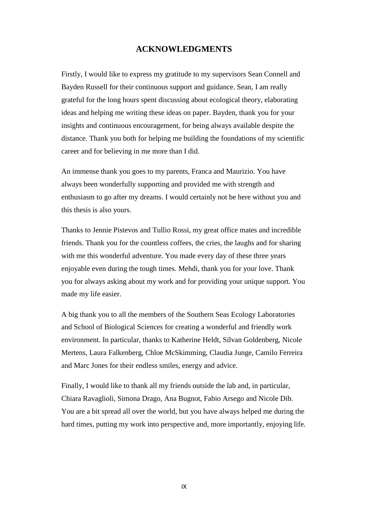## **ACKNOWLEDGMENTS**

<span id="page-8-0"></span>Firstly, I would like to express my gratitude to my supervisors Sean Connell and Bayden Russell for their continuous support and guidance. Sean, I am really grateful for the long hours spent discussing about ecological theory, elaborating ideas and helping me writing these ideas on paper. Bayden, thank you for your insights and continuous encouragement, for being always available despite the distance. Thank you both for helping me building the foundations of my scientific career and for believing in me more than I did.

An immense thank you goes to my parents, Franca and Maurizio. You have always been wonderfully supporting and provided me with strength and enthusiasm to go after my dreams. I would certainly not be here without you and this thesis is also yours.

Thanks to Jennie Pistevos and Tullio Rossi, my great office mates and incredible friends. Thank you for the countless coffees, the cries, the laughs and for sharing with me this wonderful adventure. You made every day of these three years enjoyable even during the tough times. Mehdi, thank you for your love. Thank you for always asking about my work and for providing your unique support. You made my life easier.

A big thank you to all the members of the Southern Seas Ecology Laboratories and School of Biological Sciences for creating a wonderful and friendly work environment. In particular, thanks to Katherine Heldt, Silvan Goldenberg, Nicole Mertens, Laura Falkenberg, Chloe McSkimming, Claudia Junge, Camilo Ferreira and Marc Jones for their endless smiles, energy and advice.

Finally, I would like to thank all my friends outside the lab and, in particular, Chiara Ravaglioli, Simona Drago, Ana Bugnot, Fabio Arsego and Nicole Dib. You are a bit spread all over the world, but you have always helped me during the hard times, putting my work into perspective and, more importantly, enjoying life.